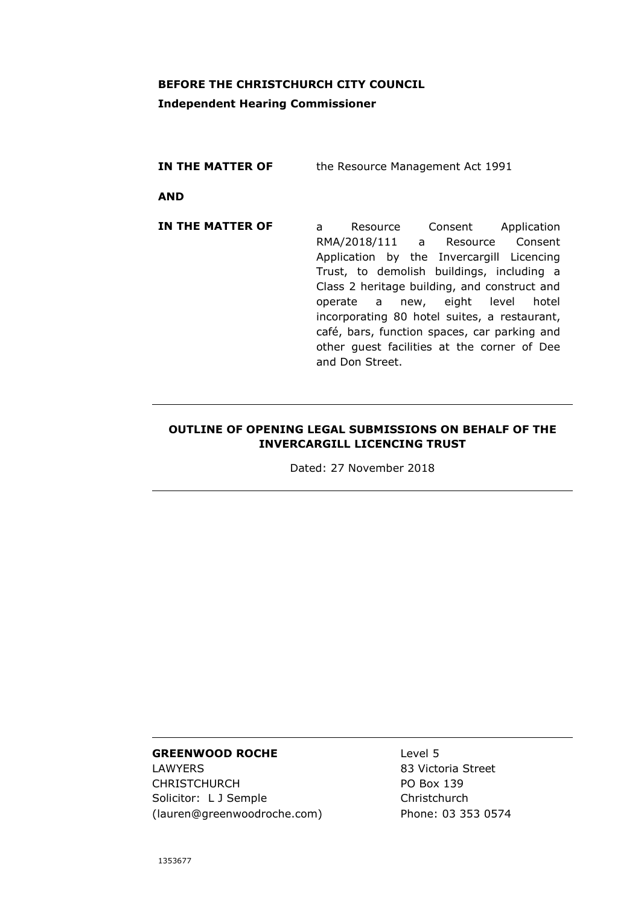# **BEFORE THE CHRISTCHURCH CITY COUNCIL**

# **Independent Hearing Commissioner**

| IN THE MATTER OF | the Resource Management Act 1991                                                                                                                                                                                                                                                                                                                                                                                        |
|------------------|-------------------------------------------------------------------------------------------------------------------------------------------------------------------------------------------------------------------------------------------------------------------------------------------------------------------------------------------------------------------------------------------------------------------------|
| <b>AND</b>       |                                                                                                                                                                                                                                                                                                                                                                                                                         |
| IN THE MATTER OF | Resource Consent Application<br>a<br>RMA/2018/111 a Resource Consent<br>Application by the Invercargill Licencing<br>Trust, to demolish buildings, including a<br>Class 2 heritage building, and construct and<br>operate a new, eight level<br>hotel<br>incorporating 80 hotel suites, a restaurant,<br>café, bars, function spaces, car parking and<br>other guest facilities at the corner of Dee<br>and Don Street. |

# **OUTLINE OF OPENING LEGAL SUBMISSIONS ON BEHALF OF THE INVERCARGILL LICENCING TRUST**

Dated: 27 November 2018

#### **GREENWOOD ROCHE**

LAWYERS CHRISTCHURCH Solicitor: L J Semple (lauren@greenwoodroche.com) Level 5 83 Victoria Street PO Box 139 Christchurch Phone: 03 353 0574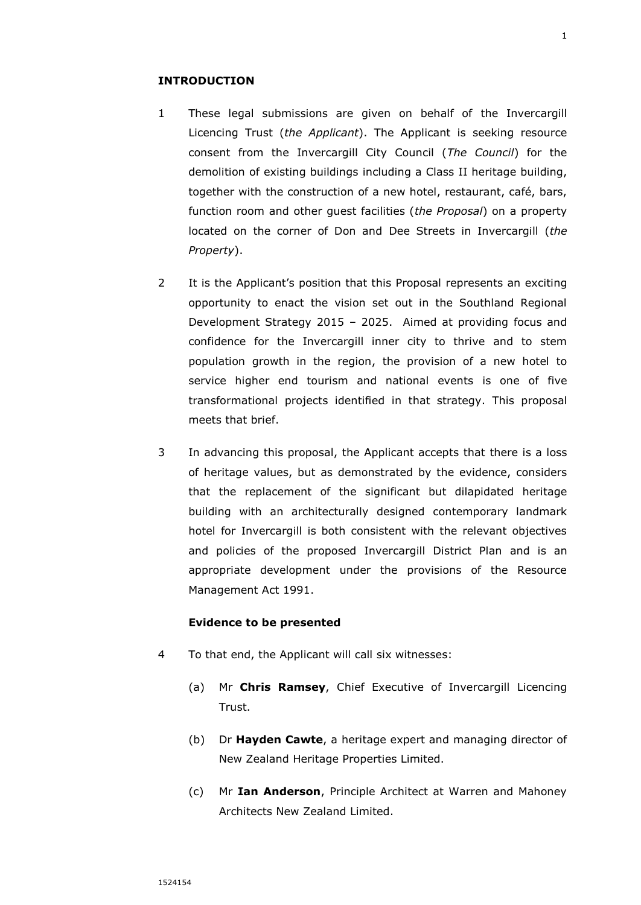- 1 These legal submissions are given on behalf of the Invercargill Licencing Trust (*the Applicant*). The Applicant is seeking resource consent from the Invercargill City Council (*The Council*) for the demolition of existing buildings including a Class II heritage building, together with the construction of a new hotel, restaurant, café, bars, function room and other guest facilities (*the Proposal*) on a property located on the corner of Don and Dee Streets in Invercargill (*the Property*).
- 2 It is the Applicant's position that this Proposal represents an exciting opportunity to enact the vision set out in the Southland Regional Development Strategy 2015 – 2025. Aimed at providing focus and confidence for the Invercargill inner city to thrive and to stem population growth in the region, the provision of a new hotel to service higher end tourism and national events is one of five transformational projects identified in that strategy. This proposal meets that brief.
- 3 In advancing this proposal, the Applicant accepts that there is a loss of heritage values, but as demonstrated by the evidence, considers that the replacement of the significant but dilapidated heritage building with an architecturally designed contemporary landmark hotel for Invercargill is both consistent with the relevant objectives and policies of the proposed Invercargill District Plan and is an appropriate development under the provisions of the Resource Management Act 1991.

# **Evidence to be presented**

- 4 To that end, the Applicant will call six witnesses:
	- (a) Mr **Chris Ramsey**, Chief Executive of Invercargill Licencing Trust.
	- (b) Dr **Hayden Cawte**, a heritage expert and managing director of New Zealand Heritage Properties Limited.
	- (c) Mr **Ian Anderson**, Principle Architect at Warren and Mahoney Architects New Zealand Limited.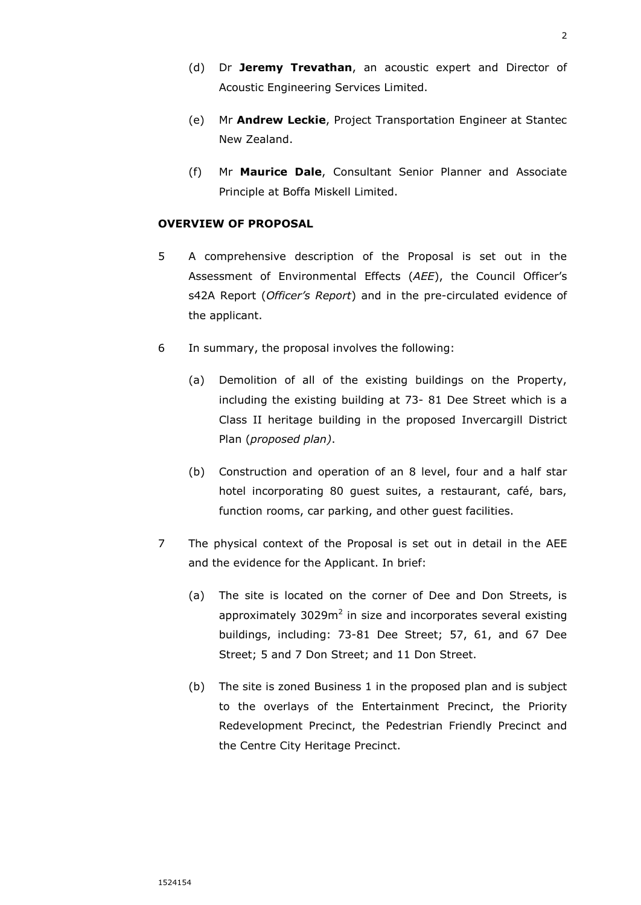- (d) Dr **Jeremy Trevathan**, an acoustic expert and Director of Acoustic Engineering Services Limited.
- (e) Mr **Andrew Leckie**, Project Transportation Engineer at Stantec New Zealand.
- (f) Mr **Maurice Dale**, Consultant Senior Planner and Associate Principle at Boffa Miskell Limited.

### **OVERVIEW OF PROPOSAL**

- 5 A comprehensive description of the Proposal is set out in the Assessment of Environmental Effects (*AEE*), the Council Officer's s42A Report (*Officer's Report*) and in the pre-circulated evidence of the applicant.
- 6 In summary, the proposal involves the following:
	- (a) Demolition of all of the existing buildings on the Property, including the existing building at 73- 81 Dee Street which is a Class II heritage building in the proposed Invercargill District Plan (*proposed plan)*.
	- (b) Construction and operation of an 8 level, four and a half star hotel incorporating 80 guest suites, a restaurant, café, bars, function rooms, car parking, and other guest facilities.
- 7 The physical context of the Proposal is set out in detail in the AEE and the evidence for the Applicant. In brief:
	- (a) The site is located on the corner of Dee and Don Streets, is approximately  $3029m^2$  in size and incorporates several existing buildings, including: 73-81 Dee Street; 57, 61, and 67 Dee Street; 5 and 7 Don Street; and 11 Don Street.
	- (b) The site is zoned Business 1 in the proposed plan and is subject to the overlays of the Entertainment Precinct, the Priority Redevelopment Precinct, the Pedestrian Friendly Precinct and the Centre City Heritage Precinct.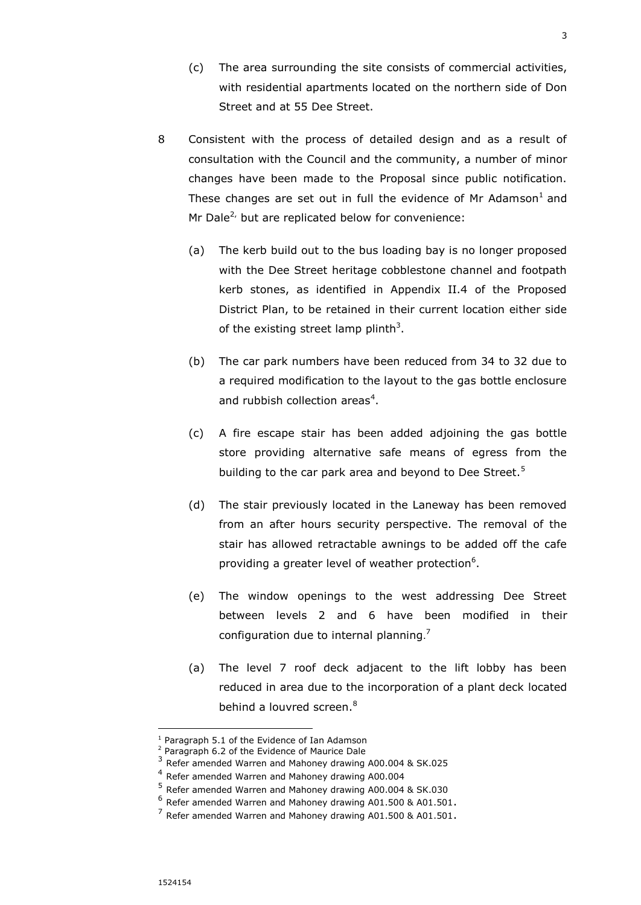- (c) The area surrounding the site consists of commercial activities, with residential apartments located on the northern side of Don Street and at 55 Dee Street.
- 8 Consistent with the process of detailed design and as a result of consultation with the Council and the community, a number of minor changes have been made to the Proposal since public notification. These changes are set out in full the evidence of Mr Adamson $^1$  and Mr Dale<sup>2,</sup> but are replicated below for convenience:
	- (a) The kerb build out to the bus loading bay is no longer proposed with the Dee Street heritage cobblestone channel and footpath kerb stones, as identified in Appendix II.4 of the Proposed District Plan, to be retained in their current location either side of the existing street lamp plinth<sup>3</sup>.
	- (b) The car park numbers have been reduced from 34 to 32 due to a required modification to the layout to the gas bottle enclosure and rubbish collection areas<sup>4</sup>.
	- (c) A fire escape stair has been added adjoining the gas bottle store providing alternative safe means of egress from the building to the car park area and beyond to Dee Street.<sup>5</sup>
	- (d) The stair previously located in the Laneway has been removed from an after hours security perspective. The removal of the stair has allowed retractable awnings to be added off the cafe providing a greater level of weather protection<sup>6</sup>.
	- (e) The window openings to the west addressing Dee Street between levels 2 and 6 have been modified in their configuration due to internal planning.<sup>7</sup>
	- (a) The level 7 roof deck adjacent to the lift lobby has been reduced in area due to the incorporation of a plant deck located behind a louvred screen.<sup>8</sup>

j

<sup>&</sup>lt;sup>1</sup> Paragraph 5.1 of the Evidence of Ian Adamson

<sup>2</sup> Paragraph 6.2 of the Evidence of Maurice Dale

<sup>&</sup>lt;sup>3</sup> Refer amended Warren and Mahoney drawing A00.004 & SK.025

<sup>&</sup>lt;sup>4</sup> Refer amended Warren and Mahoney drawing A00.004

<sup>5</sup> Refer amended Warren and Mahoney drawing A00.004 & SK.030

 $^6$  Refer amended Warren and Mahoney drawing A01.500 & A01.501.

 $^7$  Refer amended Warren and Mahoney drawing A01.500 & A01.501.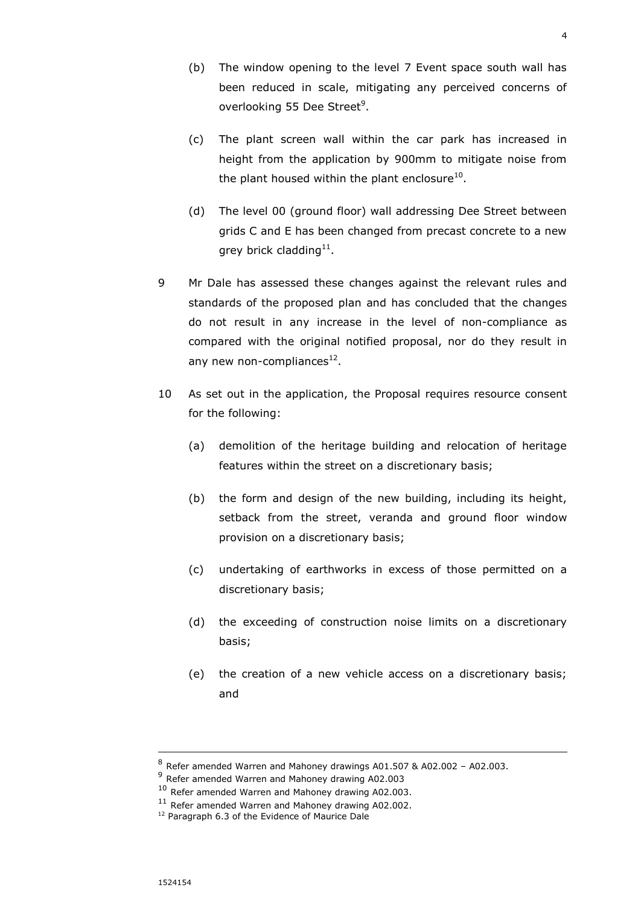- (b) The window opening to the level 7 Event space south wall has been reduced in scale, mitigating any perceived concerns of overlooking 55 Dee Street<sup>9</sup>.
- (c) The plant screen wall within the car park has increased in height from the application by 900mm to mitigate noise from the plant housed within the plant enclosure $^{10}$ .
- (d) The level 00 (ground floor) wall addressing Dee Street between grids C and E has been changed from precast concrete to a new grey brick cladding $^{11}$ .
- 9 Mr Dale has assessed these changes against the relevant rules and standards of the proposed plan and has concluded that the changes do not result in any increase in the level of non-compliance as compared with the original notified proposal, nor do they result in any new non-compliances<sup>12</sup>.
- 10 As set out in the application, the Proposal requires resource consent for the following:
	- (a) demolition of the heritage building and relocation of heritage features within the street on a discretionary basis;
	- (b) the form and design of the new building, including its height, setback from the street, veranda and ground floor window provision on a discretionary basis;
	- (c) undertaking of earthworks in excess of those permitted on a discretionary basis;
	- (d) the exceeding of construction noise limits on a discretionary basis;
	- (e) the creation of a new vehicle access on a discretionary basis; and

 $^8$  Refer amended Warren and Mahoney drawings A01.507 & A02.002 - A02.003.

<sup>&</sup>lt;sup>9</sup> Refer amended Warren and Mahoney drawing A02.003

<sup>&</sup>lt;sup>10</sup> Refer amended Warren and Mahoney drawing A02.003.

<sup>&</sup>lt;sup>11</sup> Refer amended Warren and Mahoney drawing A02.002.

<sup>&</sup>lt;sup>12</sup> Paragraph 6.3 of the Evidence of Maurice Dale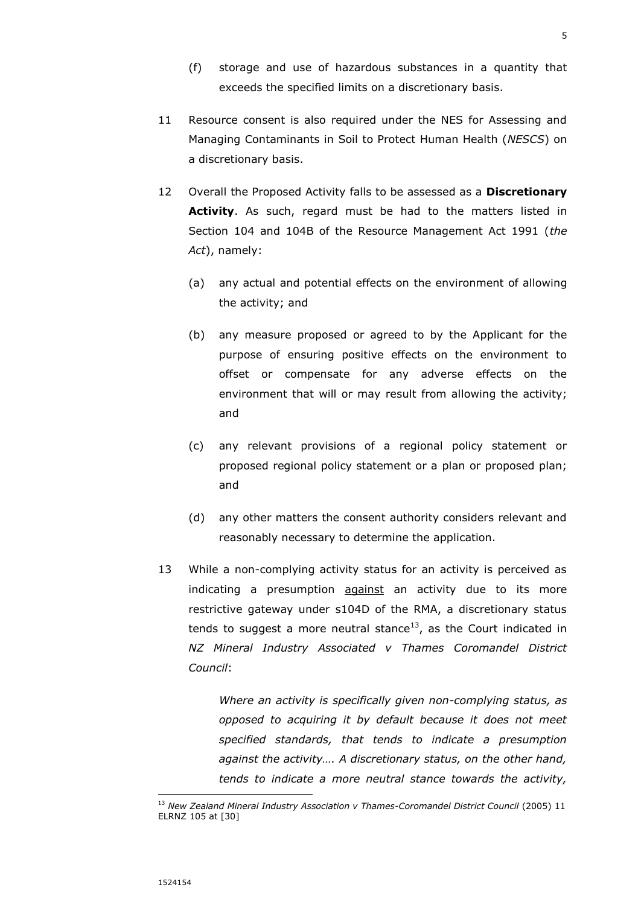- (f) storage and use of hazardous substances in a quantity that exceeds the specified limits on a discretionary basis.
- 11 Resource consent is also required under the NES for Assessing and Managing Contaminants in Soil to Protect Human Health (*NESCS*) on a discretionary basis.
- 12 Overall the Proposed Activity falls to be assessed as a **Discretionary Activity**. As such, regard must be had to the matters listed in Section 104 and 104B of the Resource Management Act 1991 (*the Act*), namely:
	- (a) any actual and potential effects on the environment of allowing the activity; and
	- (b) any measure proposed or agreed to by the Applicant for the purpose of ensuring positive effects on the environment to offset or compensate for any adverse effects on the environment that will or may result from allowing the activity; and
	- (c) any relevant provisions of a regional policy statement or proposed regional policy statement or a plan or proposed plan; and
	- (d) any other matters the consent authority considers relevant and reasonably necessary to determine the application.
- 13 While a non-complying activity status for an activity is perceived as indicating a presumption against an activity due to its more restrictive gateway under s104D of the RMA, a discretionary status tends to suggest a more neutral stance<sup>13</sup>, as the Court indicated in *NZ Mineral Industry Associated v Thames Coromandel District Council*:

*Where an activity is specifically given non-complying status, as opposed to acquiring it by default because it does not meet specified standards, that tends to indicate a presumption against the activity…. A discretionary status, on the other hand, tends to indicate a more neutral stance towards the activity,* 

<sup>&</sup>lt;sup>13</sup> New Zealand Mineral Industry Association v Thames-Coromandel District Council (2005) 11 ELRNZ 105 at [30]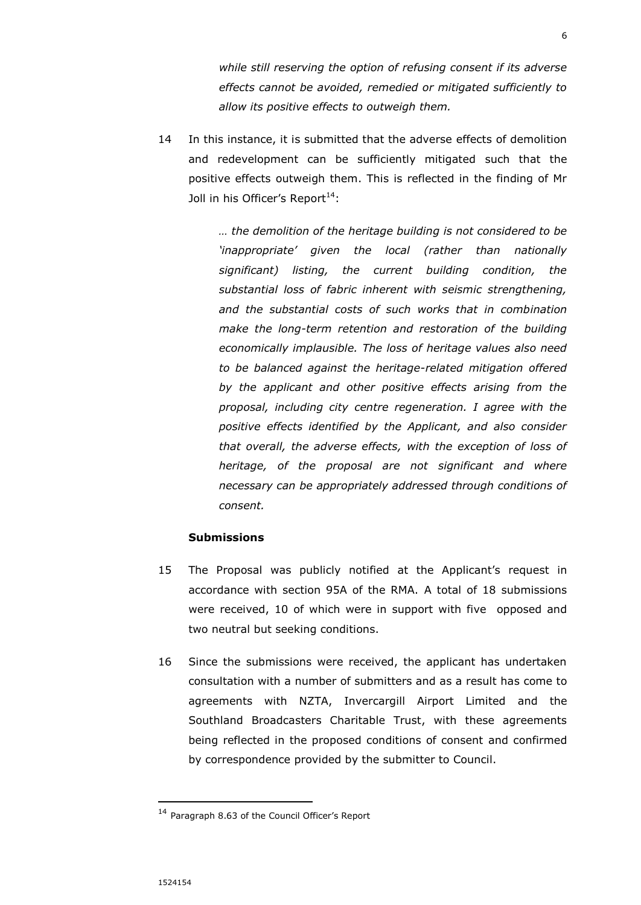*while still reserving the option of refusing consent if its adverse effects cannot be avoided, remedied or mitigated sufficiently to allow its positive effects to outweigh them.* 

14 In this instance, it is submitted that the adverse effects of demolition and redevelopment can be sufficiently mitigated such that the positive effects outweigh them. This is reflected in the finding of Mr Joll in his Officer's Report<sup>14</sup>:

> *… the demolition of the heritage building is not considered to be 'inappropriate' given the local (rather than nationally significant) listing, the current building condition, the substantial loss of fabric inherent with seismic strengthening, and the substantial costs of such works that in combination make the long-term retention and restoration of the building economically implausible. The loss of heritage values also need to be balanced against the heritage-related mitigation offered by the applicant and other positive effects arising from the proposal, including city centre regeneration. I agree with the positive effects identified by the Applicant, and also consider that overall, the adverse effects, with the exception of loss of heritage, of the proposal are not significant and where necessary can be appropriately addressed through conditions of consent.*

## **Submissions**

- 15 The Proposal was publicly notified at the Applicant's request in accordance with section 95A of the RMA. A total of 18 submissions were received, 10 of which were in support with five opposed and two neutral but seeking conditions.
- 16 Since the submissions were received, the applicant has undertaken consultation with a number of submitters and as a result has come to agreements with NZTA, Invercargill Airport Limited and the Southland Broadcasters Charitable Trust, with these agreements being reflected in the proposed conditions of consent and confirmed by correspondence provided by the submitter to Council.

<sup>14</sup> Paragraph 8.63 of the Council Officer's Report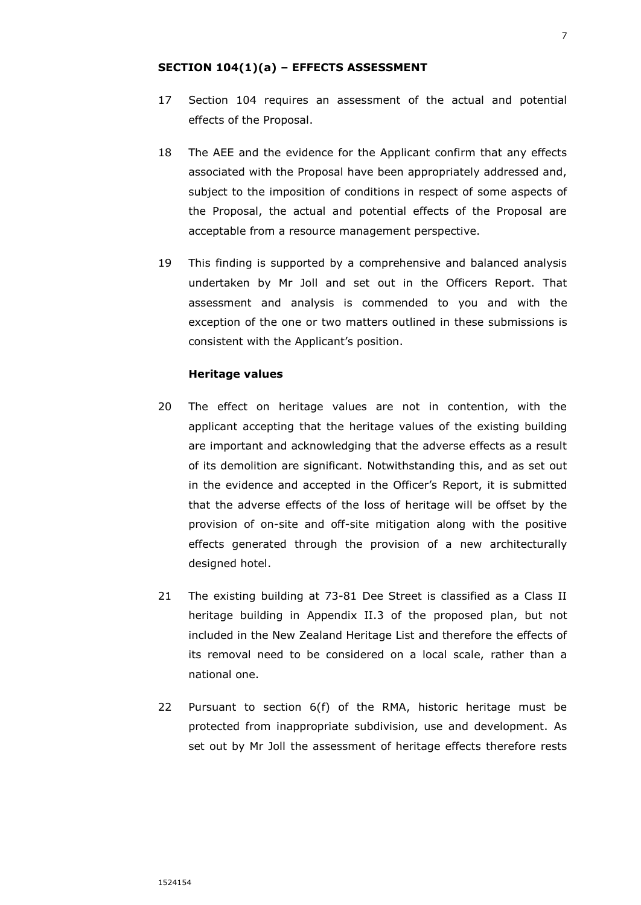### **SECTION 104(1)(a) – EFFECTS ASSESSMENT**

- 17 Section 104 requires an assessment of the actual and potential effects of the Proposal.
- 18 The AEE and the evidence for the Applicant confirm that any effects associated with the Proposal have been appropriately addressed and, subject to the imposition of conditions in respect of some aspects of the Proposal, the actual and potential effects of the Proposal are acceptable from a resource management perspective.
- 19 This finding is supported by a comprehensive and balanced analysis undertaken by Mr Joll and set out in the Officers Report. That assessment and analysis is commended to you and with the exception of the one or two matters outlined in these submissions is consistent with the Applicant's position.

#### **Heritage values**

- 20 The effect on heritage values are not in contention, with the applicant accepting that the heritage values of the existing building are important and acknowledging that the adverse effects as a result of its demolition are significant. Notwithstanding this, and as set out in the evidence and accepted in the Officer's Report, it is submitted that the adverse effects of the loss of heritage will be offset by the provision of on-site and off-site mitigation along with the positive effects generated through the provision of a new architecturally designed hotel.
- 21 The existing building at 73-81 Dee Street is classified as a Class II heritage building in Appendix II.3 of the proposed plan, but not included in the New Zealand Heritage List and therefore the effects of its removal need to be considered on a local scale, rather than a national one.
- 22 Pursuant to section 6(f) of the RMA, historic heritage must be protected from inappropriate subdivision, use and development. As set out by Mr Joll the assessment of heritage effects therefore rests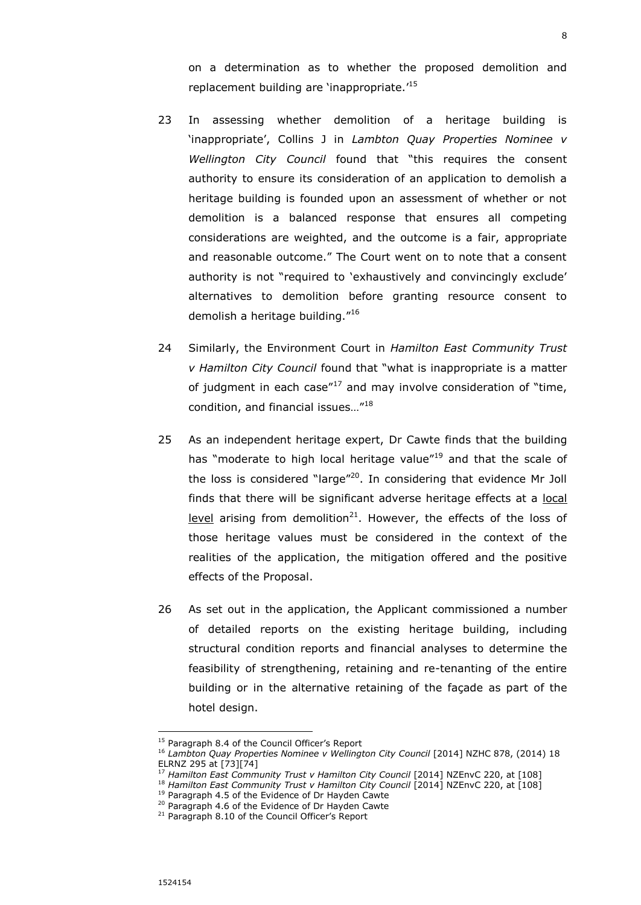on a determination as to whether the proposed demolition and replacement building are 'inappropriate.' 15

- 23 In assessing whether demolition of a heritage building is 'inappropriate', Collins J in *Lambton Quay Properties Nominee v Wellington City Council* found that "this requires the consent authority to ensure its consideration of an application to demolish a heritage building is founded upon an assessment of whether or not demolition is a balanced response that ensures all competing considerations are weighted, and the outcome is a fair, appropriate and reasonable outcome." The Court went on to note that a consent authority is not "required to 'exhaustively and convincingly exclude' alternatives to demolition before granting resource consent to demolish a heritage building."<sup>16</sup>
- 24 Similarly, the Environment Court in *Hamilton East Community Trust v Hamilton City Council* found that "what is inappropriate is a matter of judgment in each case $17$  and may involve consideration of "time, condition, and financial issues…"<sup>18</sup>
- 25 As an independent heritage expert, Dr Cawte finds that the building has "moderate to high local heritage value"<sup>19</sup> and that the scale of the loss is considered "large"<sup>20</sup>. In considering that evidence Mr Joll finds that there will be significant adverse heritage effects at a local level arising from demolition<sup>21</sup>. However, the effects of the loss of those heritage values must be considered in the context of the realities of the application, the mitigation offered and the positive effects of the Proposal.
- 26 As set out in the application, the Applicant commissioned a number of detailed reports on the existing heritage building, including structural condition reports and financial analyses to determine the feasibility of strengthening, retaining and re-tenanting of the entire building or in the alternative retaining of the façade as part of the hotel design.

-

<sup>&</sup>lt;sup>15</sup> Paragraph 8.4 of the Council Officer's Report

<sup>&</sup>lt;sup>16</sup> Lambton Quay Properties Nominee v Wellington City Council [2014] NZHC 878, (2014) 18 ELRNZ 295 at [73][74]

<sup>17</sup> *Hamilton East Community Trust v Hamilton City Council* [2014] NZEnvC 220, at [108]

<sup>&</sup>lt;sup>18</sup> Hamilton East Community Trust v Hamilton City Council [2014] NZEnvC 220, at [108]

<sup>&</sup>lt;sup>19</sup> Paragraph 4.5 of the Evidence of Dr Hayden Cawte

<sup>&</sup>lt;sup>20</sup> Paragraph 4.6 of the Evidence of Dr Hayden Cawte

<sup>&</sup>lt;sup>21</sup> Paragraph 8.10 of the Council Officer's Report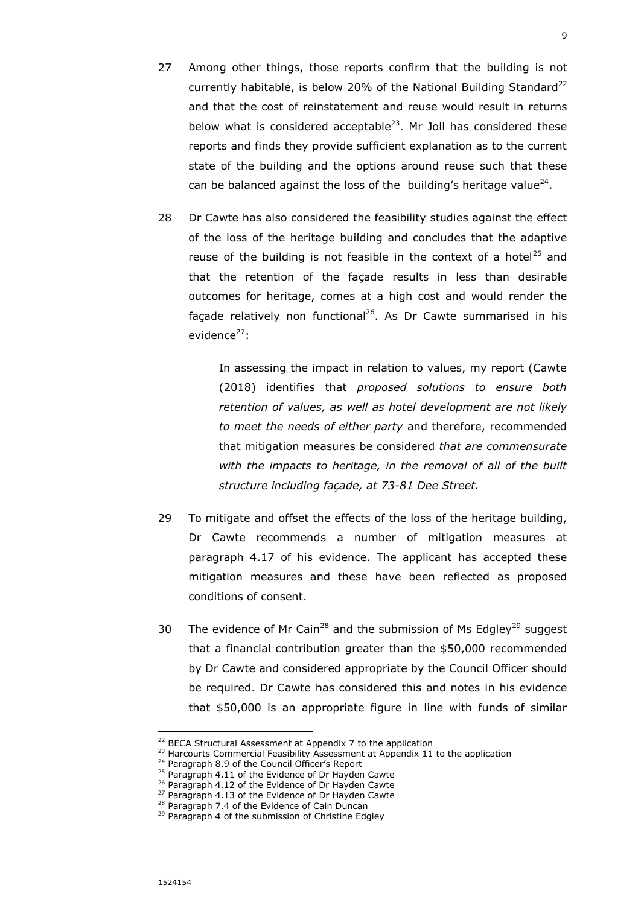- 27 Among other things, those reports confirm that the building is not currently habitable, is below 20% of the National Building Standard<sup>22</sup> and that the cost of reinstatement and reuse would result in returns below what is considered acceptable<sup>23</sup>. Mr Joll has considered these reports and finds they provide sufficient explanation as to the current state of the building and the options around reuse such that these can be balanced against the loss of the building's heritage value $^{24}$ .
- 28 Dr Cawte has also considered the feasibility studies against the effect of the loss of the heritage building and concludes that the adaptive reuse of the building is not feasible in the context of a hotel<sup>25</sup> and that the retention of the façade results in less than desirable outcomes for heritage, comes at a high cost and would render the façade relatively non functional<sup>26</sup>. As Dr Cawte summarised in his evidence<sup>27</sup>:

In assessing the impact in relation to values, my report (Cawte (2018) identifies that *proposed solutions to ensure both retention of values, as well as hotel development are not likely to meet the needs of either party* and therefore, recommended that mitigation measures be considered *that are commensurate with the impacts to heritage, in the removal of all of the built structure including façade, at 73-81 Dee Street.*

- 29 To mitigate and offset the effects of the loss of the heritage building, Dr Cawte recommends a number of mitigation measures at paragraph 4.17 of his evidence. The applicant has accepted these mitigation measures and these have been reflected as proposed conditions of consent.
- 30 The evidence of Mr Cain<sup>28</sup> and the submission of Ms Edgley<sup>29</sup> suggest that a financial contribution greater than the \$50,000 recommended by Dr Cawte and considered appropriate by the Council Officer should be required. Dr Cawte has considered this and notes in his evidence that \$50,000 is an appropriate figure in line with funds of similar

-

 $22$  BECA Structural Assessment at Appendix 7 to the application

<sup>&</sup>lt;sup>23</sup> Harcourts Commercial Feasibility Assessment at Appendix 11 to the application

<sup>&</sup>lt;sup>24</sup> Paragraph 8.9 of the Council Officer's Report

<sup>&</sup>lt;sup>25</sup> Paragraph 4.11 of the Evidence of Dr Hayden Cawte

<sup>&</sup>lt;sup>26</sup> Paragraph 4.12 of the Evidence of Dr Hayden Cawte

<sup>&</sup>lt;sup>27</sup> Paragraph 4.13 of the Evidence of Dr Hayden Cawte

<sup>&</sup>lt;sup>28</sup> Paragraph 7.4 of the Evidence of Cain Duncan

<sup>&</sup>lt;sup>29</sup> Paragraph 4 of the submission of Christine Edgley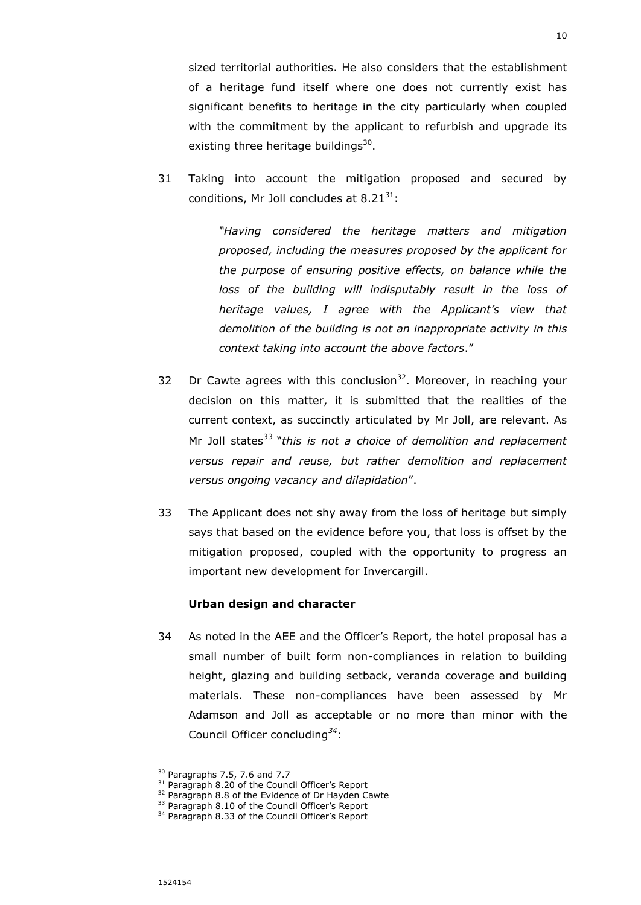sized territorial authorities. He also considers that the establishment of a heritage fund itself where one does not currently exist has significant benefits to heritage in the city particularly when coupled with the commitment by the applicant to refurbish and upgrade its existing three heritage buildings $^{30}$ .

31 Taking into account the mitigation proposed and secured by conditions, Mr Joll concludes at  $8.21^{31}$ :

> *"Having considered the heritage matters and mitigation proposed, including the measures proposed by the applicant for the purpose of ensuring positive effects, on balance while the loss of the building will indisputably result in the loss of heritage values, I agree with the Applicant's view that demolition of the building is not an inappropriate activity in this context taking into account the above factors*."

- 32 Dr Cawte agrees with this conclusion<sup>32</sup>. Moreover, in reaching your decision on this matter, it is submitted that the realities of the current context, as succinctly articulated by Mr Joll, are relevant. As Mr Joll states<sup>33</sup> "*this is not a choice of demolition and replacement versus repair and reuse, but rather demolition and replacement versus ongoing vacancy and dilapidation*".
- 33 The Applicant does not shy away from the loss of heritage but simply says that based on the evidence before you, that loss is offset by the mitigation proposed, coupled with the opportunity to progress an important new development for Invercargill.

#### **Urban design and character**

34 As noted in the AEE and the Officer's Report, the hotel proposal has a small number of built form non-compliances in relation to building height, glazing and building setback, veranda coverage and building materials. These non-compliances have been assessed by Mr Adamson and Joll as acceptable or no more than minor with the Council Officer concluding*<sup>34</sup>*:

<sup>30</sup> Paragraphs 7.5, 7.6 and 7.7

<sup>&</sup>lt;sup>31</sup> Paragraph 8.20 of the Council Officer's Report

<sup>&</sup>lt;sup>32</sup> Paragraph 8.8 of the Evidence of Dr Hayden Cawte

<sup>&</sup>lt;sup>33</sup> Paragraph 8.10 of the Council Officer's Report

<sup>&</sup>lt;sup>34</sup> Paragraph 8.33 of the Council Officer's Report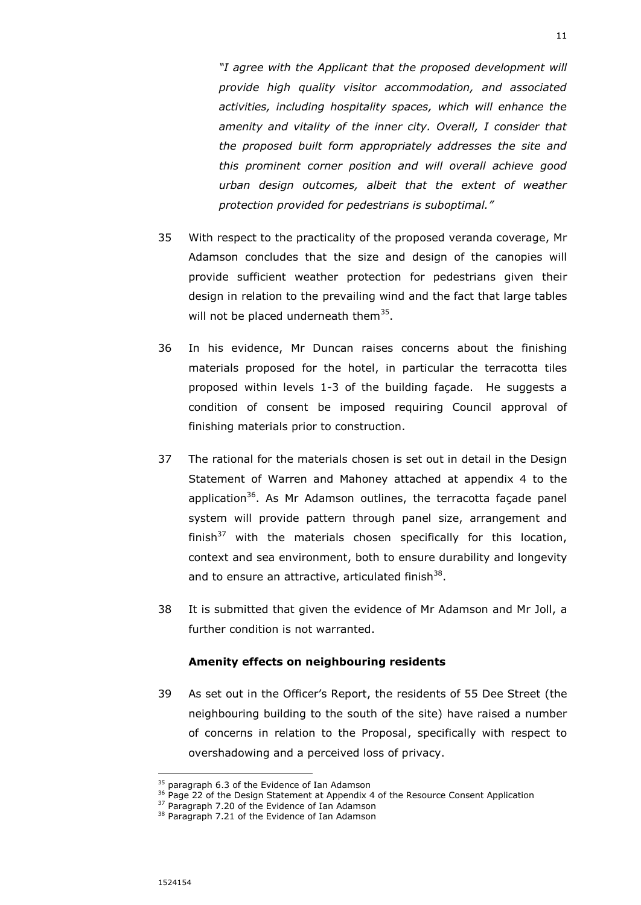*"I agree with the Applicant that the proposed development will provide high quality visitor accommodation, and associated activities, including hospitality spaces, which will enhance the amenity and vitality of the inner city. Overall, I consider that the proposed built form appropriately addresses the site and this prominent corner position and will overall achieve good urban design outcomes, albeit that the extent of weather protection provided for pedestrians is suboptimal."* 

- 35 With respect to the practicality of the proposed veranda coverage, Mr Adamson concludes that the size and design of the canopies will provide sufficient weather protection for pedestrians given their design in relation to the prevailing wind and the fact that large tables will not be placed underneath them<sup>35</sup>.
- 36 In his evidence, Mr Duncan raises concerns about the finishing materials proposed for the hotel, in particular the terracotta tiles proposed within levels 1-3 of the building façade. He suggests a condition of consent be imposed requiring Council approval of finishing materials prior to construction.
- 37 The rational for the materials chosen is set out in detail in the Design Statement of Warren and Mahoney attached at appendix 4 to the application<sup>36</sup>. As Mr Adamson outlines, the terracotta façade panel system will provide pattern through panel size, arrangement and finish $37$  with the materials chosen specifically for this location, context and sea environment, both to ensure durability and longevity and to ensure an attractive, articulated finish $^{38}$ .
- 38 It is submitted that given the evidence of Mr Adamson and Mr Joll, a further condition is not warranted.

### **Amenity effects on neighbouring residents**

39 As set out in the Officer's Report, the residents of 55 Dee Street (the neighbouring building to the south of the site) have raised a number of concerns in relation to the Proposal, specifically with respect to overshadowing and a perceived loss of privacy.

 $35$  paragraph 6.3 of the Evidence of Ian Adamson

<sup>36</sup> Page 22 of the Design Statement at Appendix 4 of the Resource Consent Application

<sup>&</sup>lt;sup>37</sup> Paragraph 7.20 of the Evidence of Ian Adamson

<sup>&</sup>lt;sup>38</sup> Paragraph 7.21 of the Evidence of Ian Adamson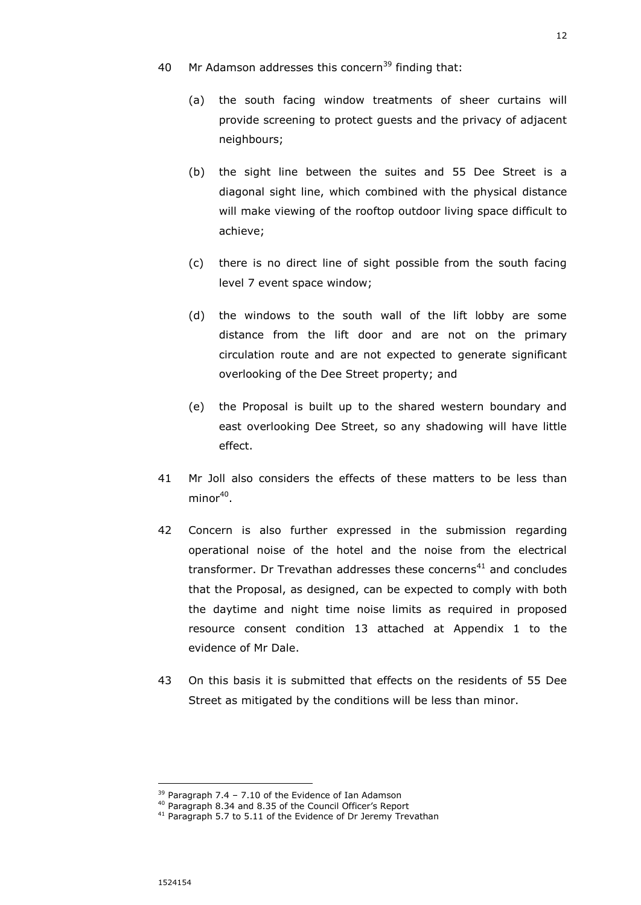- 40 Mr Adamson addresses this concern<sup>39</sup> finding that:
	- (a) the south facing window treatments of sheer curtains will provide screening to protect guests and the privacy of adjacent neighbours;
	- (b) the sight line between the suites and 55 Dee Street is a diagonal sight line, which combined with the physical distance will make viewing of the rooftop outdoor living space difficult to achieve;
	- (c) there is no direct line of sight possible from the south facing level 7 event space window;
	- (d) the windows to the south wall of the lift lobby are some distance from the lift door and are not on the primary circulation route and are not expected to generate significant overlooking of the Dee Street property; and
	- (e) the Proposal is built up to the shared western boundary and east overlooking Dee Street, so any shadowing will have little effect.
- 41 Mr Joll also considers the effects of these matters to be less than minor $^{40}$ .
- 42 Concern is also further expressed in the submission regarding operational noise of the hotel and the noise from the electrical transformer. Dr Trevathan addresses these concerns<sup>41</sup> and concludes that the Proposal, as designed, can be expected to comply with both the daytime and night time noise limits as required in proposed resource consent condition 13 attached at Appendix 1 to the evidence of Mr Dale.
- 43 On this basis it is submitted that effects on the residents of 55 Dee Street as mitigated by the conditions will be less than minor.

 $39$  Paragraph 7.4 - 7.10 of the Evidence of Ian Adamson

<sup>40</sup> Paragraph 8.34 and 8.35 of the Council Officer's Report

<sup>&</sup>lt;sup>41</sup> Paragraph 5.7 to 5.11 of the Evidence of Dr Jeremy Trevathan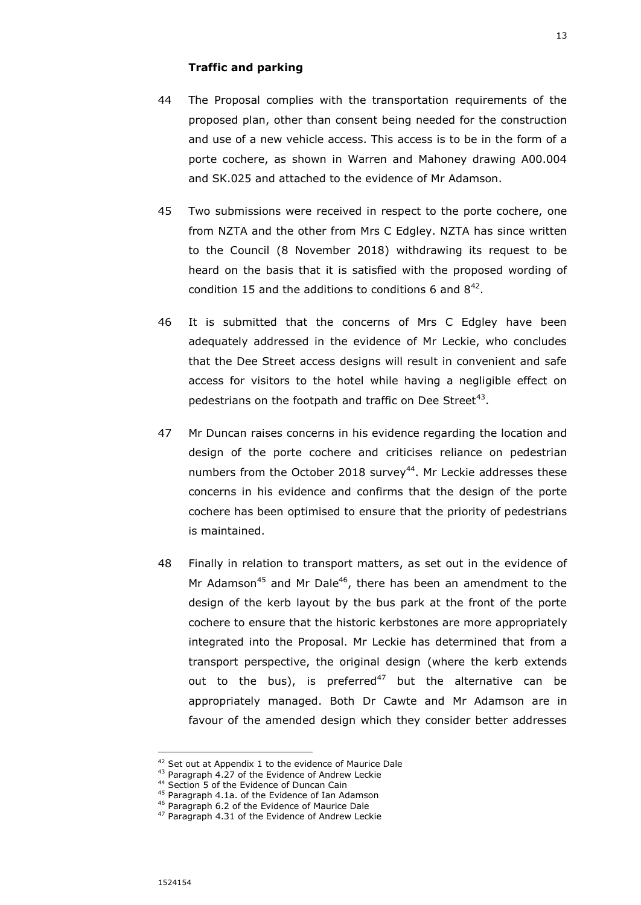## **Traffic and parking**

- 44 The Proposal complies with the transportation requirements of the proposed plan, other than consent being needed for the construction and use of a new vehicle access. This access is to be in the form of a porte cochere, as shown in Warren and Mahoney drawing A00.004 and SK.025 and attached to the evidence of Mr Adamson.
- 45 Two submissions were received in respect to the porte cochere, one from NZTA and the other from Mrs C Edgley. NZTA has since written to the Council (8 November 2018) withdrawing its request to be heard on the basis that it is satisfied with the proposed wording of condition 15 and the additions to conditions 6 and  $8^{42}$ .
- 46 It is submitted that the concerns of Mrs C Edgley have been adequately addressed in the evidence of Mr Leckie, who concludes that the Dee Street access designs will result in convenient and safe access for visitors to the hotel while having a negligible effect on pedestrians on the footpath and traffic on Dee Street $43$ .
- 47 Mr Duncan raises concerns in his evidence regarding the location and design of the porte cochere and criticises reliance on pedestrian numbers from the October 2018 survey<sup>44</sup>. Mr Leckie addresses these concerns in his evidence and confirms that the design of the porte cochere has been optimised to ensure that the priority of pedestrians is maintained.
- 48 Finally in relation to transport matters, as set out in the evidence of Mr Adamson<sup>45</sup> and Mr Dale<sup>46</sup>, there has been an amendment to the design of the kerb layout by the bus park at the front of the porte cochere to ensure that the historic kerbstones are more appropriately integrated into the Proposal. Mr Leckie has determined that from a transport perspective, the original design (where the kerb extends out to the bus), is preferred<sup>47</sup> but the alternative can be appropriately managed. Both Dr Cawte and Mr Adamson are in favour of the amended design which they consider better addresses

<sup>&</sup>lt;sup>42</sup> Set out at Appendix 1 to the evidence of Maurice Dale

<sup>&</sup>lt;sup>43</sup> Paragraph 4.27 of the Evidence of Andrew Leckie

<sup>44</sup> Section 5 of the Evidence of Duncan Cain

<sup>&</sup>lt;sup>45</sup> Paragraph 4.1a. of the Evidence of Ian Adamson

<sup>46</sup> Paragraph 6.2 of the Evidence of Maurice Dale

<sup>&</sup>lt;sup>47</sup> Paragraph 4.31 of the Evidence of Andrew Leckie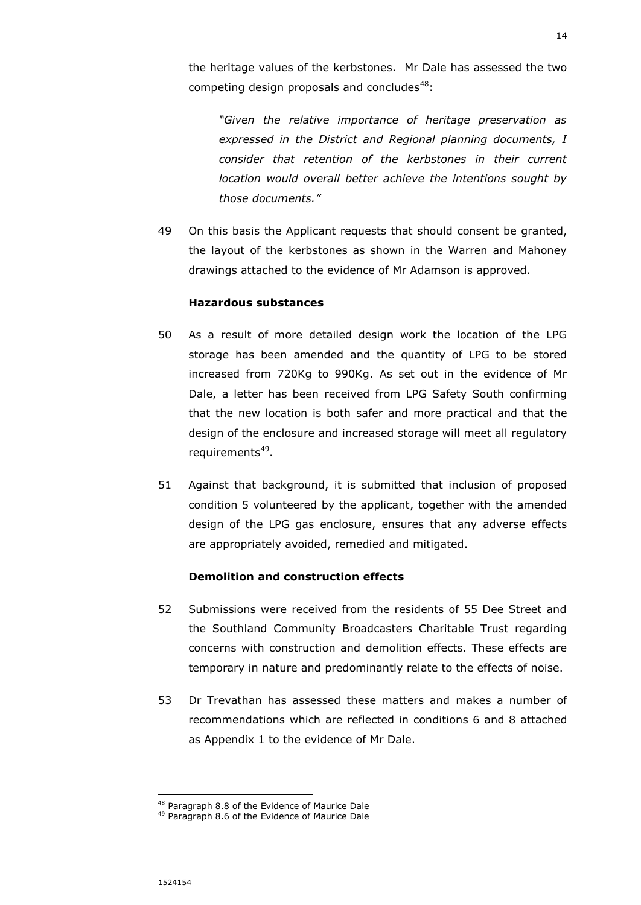the heritage values of the kerbstones. Mr Dale has assessed the two competing design proposals and concludes $48$ :

*"Given the relative importance of heritage preservation as expressed in the District and Regional planning documents, I consider that retention of the kerbstones in their current location would overall better achieve the intentions sought by those documents."*

49 On this basis the Applicant requests that should consent be granted, the layout of the kerbstones as shown in the Warren and Mahoney drawings attached to the evidence of Mr Adamson is approved.

### **Hazardous substances**

- 50 As a result of more detailed design work the location of the LPG storage has been amended and the quantity of LPG to be stored increased from 720Kg to 990Kg. As set out in the evidence of Mr Dale, a letter has been received from LPG Safety South confirming that the new location is both safer and more practical and that the design of the enclosure and increased storage will meet all regulatory requirements<sup>49</sup>.
- 51 Against that background, it is submitted that inclusion of proposed condition 5 volunteered by the applicant, together with the amended design of the LPG gas enclosure, ensures that any adverse effects are appropriately avoided, remedied and mitigated.

### **Demolition and construction effects**

- 52 Submissions were received from the residents of 55 Dee Street and the Southland Community Broadcasters Charitable Trust regarding concerns with construction and demolition effects. These effects are temporary in nature and predominantly relate to the effects of noise.
- 53 Dr Trevathan has assessed these matters and makes a number of recommendations which are reflected in conditions 6 and 8 attached as Appendix 1 to the evidence of Mr Dale.

<sup>&</sup>lt;sup>48</sup> Paragraph 8.8 of the Evidence of Maurice Dale

<sup>49</sup> Paragraph 8.6 of the Evidence of Maurice Dale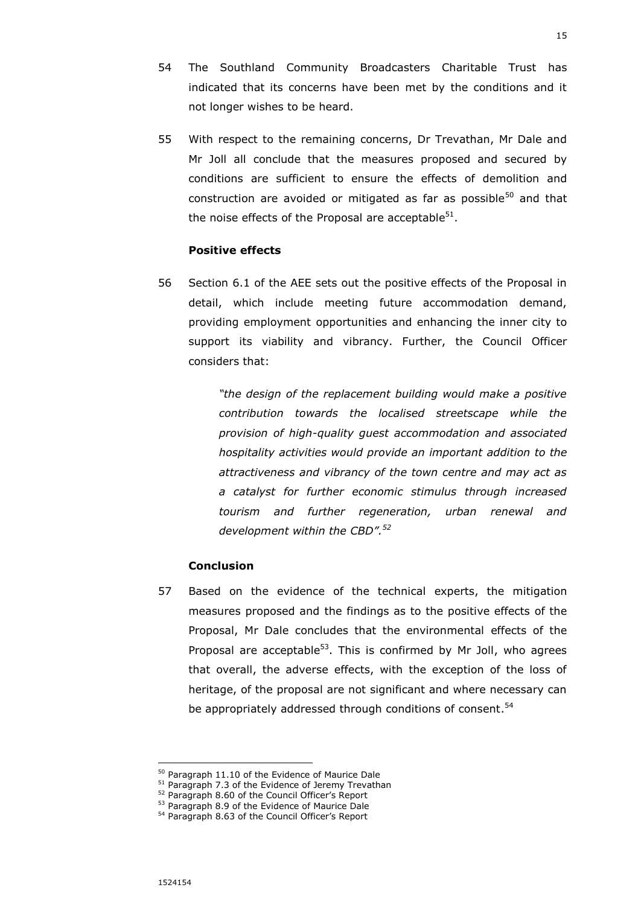- 54 The Southland Community Broadcasters Charitable Trust has indicated that its concerns have been met by the conditions and it not longer wishes to be heard.
- 55 With respect to the remaining concerns, Dr Trevathan, Mr Dale and Mr Joll all conclude that the measures proposed and secured by conditions are sufficient to ensure the effects of demolition and construction are avoided or mitigated as far as possible<sup>50</sup> and that the noise effects of the Proposal are acceptable<sup>51</sup>.

#### **Positive effects**

56 Section 6.1 of the AEE sets out the positive effects of the Proposal in detail, which include meeting future accommodation demand, providing employment opportunities and enhancing the inner city to support its viability and vibrancy. Further, the Council Officer considers that:

> *"the design of the replacement building would make a positive contribution towards the localised streetscape while the provision of high-quality guest accommodation and associated hospitality activities would provide an important addition to the attractiveness and vibrancy of the town centre and may act as a catalyst for further economic stimulus through increased tourism and further regeneration, urban renewal and development within the CBD". 52*

## **Conclusion**

57 Based on the evidence of the technical experts, the mitigation measures proposed and the findings as to the positive effects of the Proposal, Mr Dale concludes that the environmental effects of the Proposal are acceptable $53$ . This is confirmed by Mr Joll, who agrees that overall, the adverse effects, with the exception of the loss of heritage, of the proposal are not significant and where necessary can be appropriately addressed through conditions of consent.<sup>54</sup>

 $\overline{a}$ <sup>50</sup> Paragraph 11.10 of the Evidence of Maurice Dale

<sup>&</sup>lt;sup>51</sup> Paragraph 7.3 of the Evidence of Jeremy Trevathan

<sup>&</sup>lt;sup>52</sup> Paragraph 8.60 of the Council Officer's Report

<sup>53</sup> Paragraph 8.9 of the Evidence of Maurice Dale

<sup>54</sup> Paragraph 8.63 of the Council Officer's Report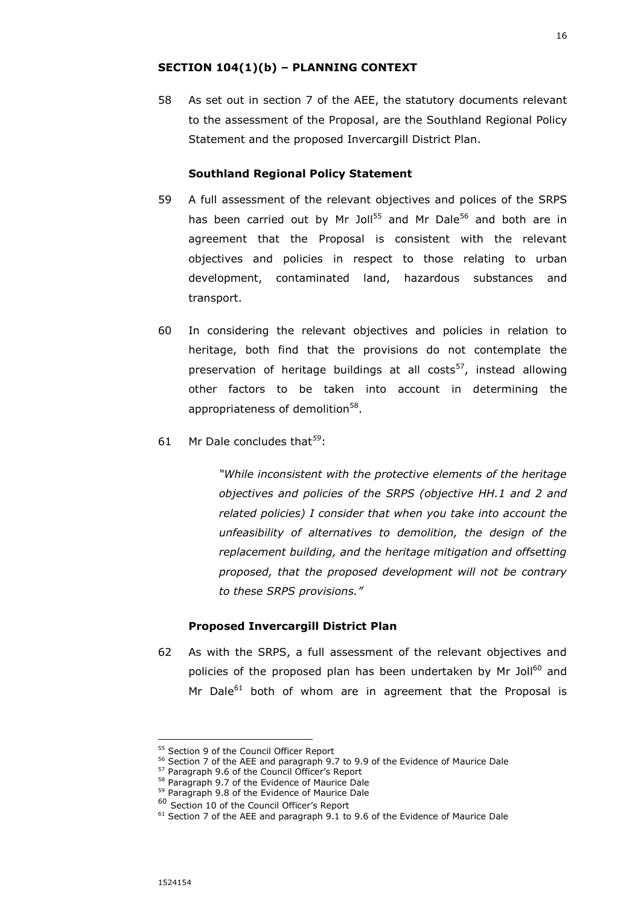### **SECTION 104(1)(b) – PLANNING CONTEXT**

58 As set out in section 7 of the AEE, the statutory documents relevant to the assessment of the Proposal, are the Southland Regional Policy Statement and the proposed Invercargill District Plan.

#### **Southland Regional Policy Statement**

- 59 A full assessment of the relevant objectives and polices of the SRPS has been carried out by Mr Joll<sup>55</sup> and Mr Dale<sup>56</sup> and both are in agreement that the Proposal is consistent with the relevant objectives and policies in respect to those relating to urban development, contaminated land, hazardous substances and transport.
- 60 In considering the relevant objectives and policies in relation to heritage, both find that the provisions do not contemplate the preservation of heritage buildings at all costs<sup>57</sup>, instead allowing other factors to be taken into account in determining the appropriateness of demolition<sup>58</sup>.
- 61 Mr Dale concludes that*<sup>59</sup>*:

*"While inconsistent with the protective elements of the heritage objectives and policies of the SRPS (objective HH.1 and 2 and related policies) I consider that when you take into account the unfeasibility of alternatives to demolition, the design of the replacement building, and the heritage mitigation and offsetting proposed, that the proposed development will not be contrary to these SRPS provisions."*

#### **Proposed Invercargill District Plan**

62 As with the SRPS, a full assessment of the relevant objectives and policies of the proposed plan has been undertaken by Mr Joll<sup>60</sup> and Mr Dale $^{61}$  both of whom are in agreement that the Proposal is

1524154

-

<sup>55</sup> Section 9 of the Council Officer Report

<sup>&</sup>lt;sup>56</sup> Section 7 of the AEE and paragraph 9.7 to 9.9 of the Evidence of Maurice Dale

<sup>57</sup> Paragraph 9.6 of the Council Officer's Report

<sup>58</sup> Paragraph 9.7 of the Evidence of Maurice Dale

<sup>59</sup> Paragraph 9.8 of the Evidence of Maurice Dale

<sup>60</sup> Section 10 of the Council Officer's Report

<sup>&</sup>lt;sup>61</sup> Section 7 of the AEE and paragraph 9.1 to 9.6 of the Evidence of Maurice Dale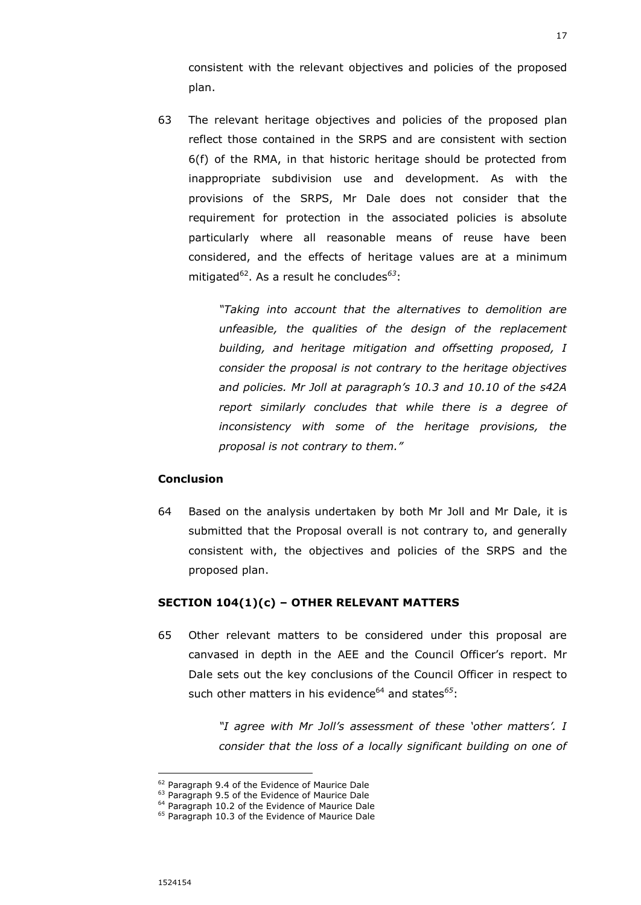consistent with the relevant objectives and policies of the proposed plan.

63 The relevant heritage objectives and policies of the proposed plan reflect those contained in the SRPS and are consistent with section 6(f) of the RMA, in that historic heritage should be protected from inappropriate subdivision use and development. As with the provisions of the SRPS, Mr Dale does not consider that the requirement for protection in the associated policies is absolute particularly where all reasonable means of reuse have been considered, and the effects of heritage values are at a minimum mitigated<sup>62</sup>. As a result he concludes<sup>63</sup>:

> *"Taking into account that the alternatives to demolition are unfeasible, the qualities of the design of the replacement building, and heritage mitigation and offsetting proposed, I consider the proposal is not contrary to the heritage objectives and policies. Mr Joll at paragraph's 10.3 and 10.10 of the s42A report similarly concludes that while there is a degree of inconsistency with some of the heritage provisions, the proposal is not contrary to them."*

## **Conclusion**

64 Based on the analysis undertaken by both Mr Joll and Mr Dale, it is submitted that the Proposal overall is not contrary to, and generally consistent with, the objectives and policies of the SRPS and the proposed plan.

#### **SECTION 104(1)(c) – OTHER RELEVANT MATTERS**

65 Other relevant matters to be considered under this proposal are canvased in depth in the AEE and the Council Officer's report. Mr Dale sets out the key conclusions of the Council Officer in respect to such other matters in his evidence<sup>64</sup> and states<sup>65</sup>:

> *"I agree with Mr Joll's assessment of these 'other matters'. I consider that the loss of a locally significant building on one of*

<sup>&</sup>lt;sup>62</sup> Paragraph 9.4 of the Evidence of Maurice Dale

<sup>&</sup>lt;sup>63</sup> Paragraph 9.5 of the Evidence of Maurice Dale

<sup>&</sup>lt;sup>64</sup> Paragraph 10.2 of the Evidence of Maurice Dale

<sup>&</sup>lt;sup>65</sup> Paragraph 10.3 of the Evidence of Maurice Dale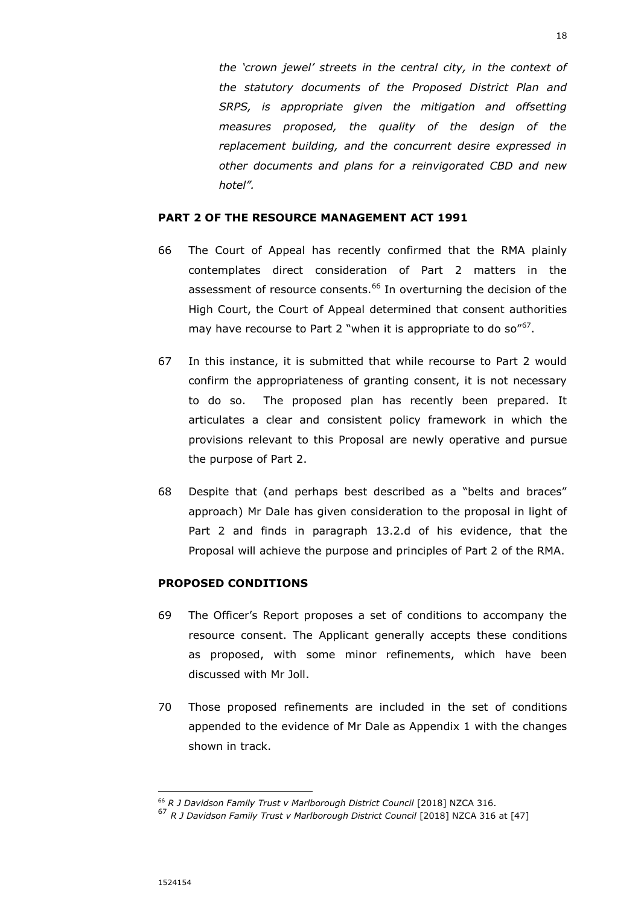*the 'crown jewel' streets in the central city, in the context of the statutory documents of the Proposed District Plan and SRPS, is appropriate given the mitigation and offsetting measures proposed, the quality of the design of the replacement building, and the concurrent desire expressed in other documents and plans for a reinvigorated CBD and new hotel".*

# **PART 2 OF THE RESOURCE MANAGEMENT ACT 1991**

- 66 The Court of Appeal has recently confirmed that the RMA plainly contemplates direct consideration of Part 2 matters in the assessment of resource consents.<sup>66</sup> In overturning the decision of the High Court, the Court of Appeal determined that consent authorities may have recourse to Part 2 "when it is appropriate to do so"<sup>67</sup>.
- 67 In this instance, it is submitted that while recourse to Part 2 would confirm the appropriateness of granting consent, it is not necessary to do so. The proposed plan has recently been prepared. It articulates a clear and consistent policy framework in which the provisions relevant to this Proposal are newly operative and pursue the purpose of Part 2.
- 68 Despite that (and perhaps best described as a "belts and braces" approach) Mr Dale has given consideration to the proposal in light of Part 2 and finds in paragraph 13.2.d of his evidence, that the Proposal will achieve the purpose and principles of Part 2 of the RMA.

# **PROPOSED CONDITIONS**

- 69 The Officer's Report proposes a set of conditions to accompany the resource consent. The Applicant generally accepts these conditions as proposed, with some minor refinements, which have been discussed with Mr Joll.
- 70 Those proposed refinements are included in the set of conditions appended to the evidence of Mr Dale as Appendix 1 with the changes shown in track.

<sup>66</sup> *R J Davidson Family Trust v Marlborough District Council* [2018] NZCA 316.

<sup>67</sup> *R J Davidson Family Trust v Marlborough District Council* [2018] NZCA 316 at [47]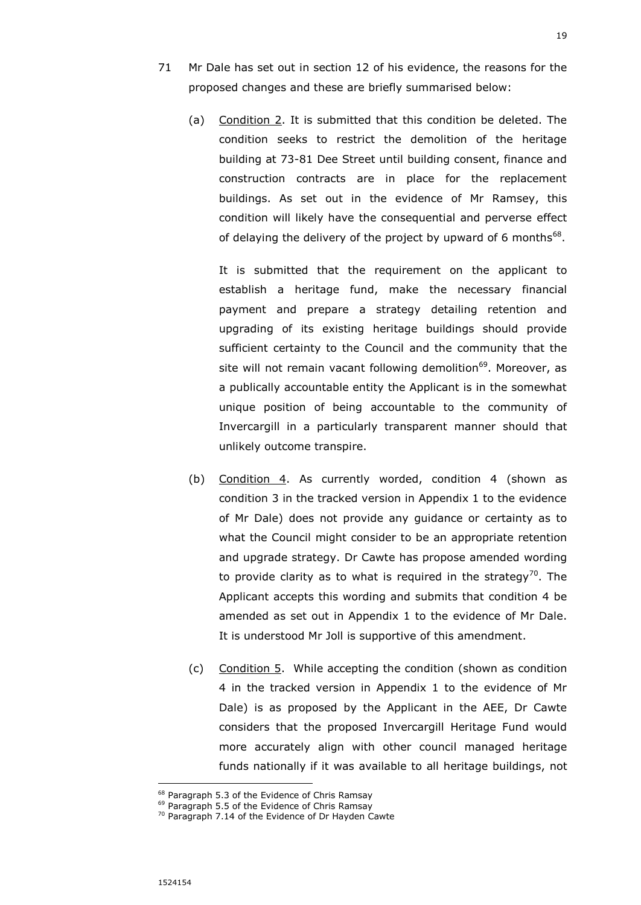- 71 Mr Dale has set out in section 12 of his evidence, the reasons for the proposed changes and these are briefly summarised below:
	- (a) Condition 2. It is submitted that this condition be deleted. The condition seeks to restrict the demolition of the heritage building at 73-81 Dee Street until building consent, finance and construction contracts are in place for the replacement buildings. As set out in the evidence of Mr Ramsey, this condition will likely have the consequential and perverse effect of delaying the delivery of the project by upward of 6 months $^{68}$ .

It is submitted that the requirement on the applicant to establish a heritage fund, make the necessary financial payment and prepare a strategy detailing retention and upgrading of its existing heritage buildings should provide sufficient certainty to the Council and the community that the site will not remain vacant following demolition<sup>69</sup>. Moreover, as a publically accountable entity the Applicant is in the somewhat unique position of being accountable to the community of Invercargill in a particularly transparent manner should that unlikely outcome transpire.

- (b) Condition 4. As currently worded, condition 4 (shown as condition 3 in the tracked version in Appendix 1 to the evidence of Mr Dale) does not provide any guidance or certainty as to what the Council might consider to be an appropriate retention and upgrade strategy. Dr Cawte has propose amended wording to provide clarity as to what is required in the strategy<sup>70</sup>. The Applicant accepts this wording and submits that condition 4 be amended as set out in Appendix 1 to the evidence of Mr Dale. It is understood Mr Joll is supportive of this amendment.
- (c) Condition 5. While accepting the condition (shown as condition 4 in the tracked version in Appendix 1 to the evidence of Mr Dale) is as proposed by the Applicant in the AEE, Dr Cawte considers that the proposed Invercargill Heritage Fund would more accurately align with other council managed heritage funds nationally if it was available to all heritage buildings, not

<sup>&</sup>lt;sup>68</sup> Paragraph 5.3 of the Evidence of Chris Ramsay

<sup>&</sup>lt;sup>69</sup> Paragraph 5.5 of the Evidence of Chris Ramsay

<sup>&</sup>lt;sup>70</sup> Paragraph 7.14 of the Evidence of Dr Hayden Cawte